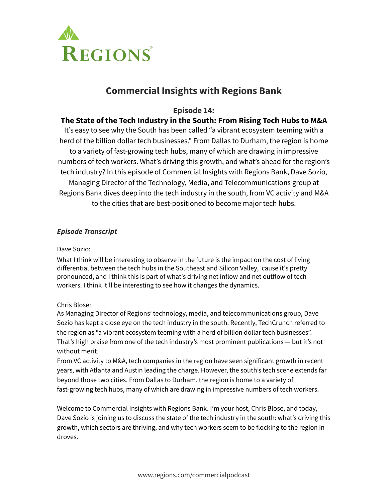

# **Commercial Insights with Regions Bank**

# **Episode 14:**

# **The State of the Tech Industry in the South: From Rising Tech Hubs to M&A**

It's easy to see why the South has been called "a vibrant ecosystem teeming with a herd of the billion dollar tech businesses." From Dallas to Durham, the region is home to a variety of fast-growing tech hubs, many of which are drawing in impressive numbers of tech workers. What's driving this growth, and what's ahead for the region's tech industry? In this episode of Commercial Insights with Regions Bank, Dave Sozio, Managing Director of the Technology, Media, and Telecommunications group at Regions Bank dives deep into the tech industry in the south, from VC activity and M&A to the cities that are best-positioned to become major tech hubs.

# *Episode Transcript*

### Dave Sozio:

What I think will be interesting to observe in the future is the impact on the cost of living differential between the tech hubs in the Southeast and Silicon Valley, 'cause it's pretty pronounced, and I think this is part of what's driving net inflow and net outflow of tech workers. I think it'll be interesting to see how it changes the dynamics.

## Chris Blose:

As Managing Director of Regions' technology, media, and telecommunications group, Dave Sozio has kept a close eye on the tech industry in the south. Recently, TechCrunch referred to the region as "a vibrant ecosystem teeming with a herd of billion dollar tech businesses". That's high praise from one of the tech industry's most prominent publications — but it's not without merit.

From VC activity to M&A, tech companies in the region have seen significant growth in recent years, with Atlanta and Austin leading the charge. However, the south's tech scene extends far beyond those two cities. From Dallas to Durham, the region is home to a variety of fast-growing tech hubs, many of which are drawing in impressive numbers of tech workers.

Welcome to Commercial Insights with Regions Bank. I'm your host, Chris Blose, and today, Dave Sozio is joining us to discuss the state of the tech industry in the south: what's driving this growth, which sectors are thriving, and why tech workers seem to be flocking to the region in droves.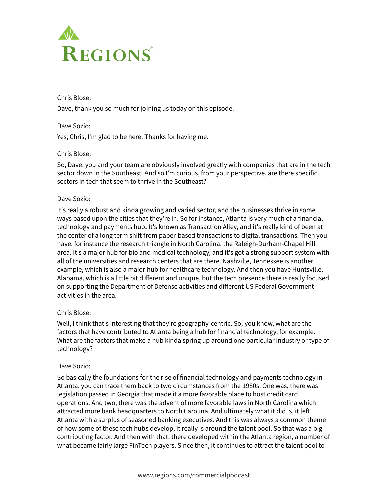

Chris Blose: Dave, thank you so much for joining us today on this episode.

Dave Sozio: Yes, Chris, I'm glad to be here. Thanks for having me.

#### Chris Blose:

So, Dave, you and your team are obviously involved greatly with companies that are in the tech sector down in the Southeast. And so I'm curious, from your perspective, are there specific sectors in tech that seem to thrive in the Southeast?

#### Dave Sozio:

It's really a robust and kinda growing and varied sector, and the businesses thrive in some ways based upon the cities that they're in. So for instance, Atlanta is very much of a financial technology and payments hub. It's known as Transaction Alley, and it's really kind of been at the center of a long term shift from paper-based transactions to digital transactions. Then you have, for instance the research triangle in North Carolina, the Raleigh-Durham-Chapel Hill area. It's a major hub for bio and medical technology, and it's got a strong support system with all of the universities and research centers that are there. Nashville, Tennessee is another example, which is also a major hub for healthcare technology. And then you have Huntsville, Alabama, which is a little bit different and unique, but the tech presence there is really focused on supporting the Department of Defense activities and different US Federal Government activities in the area.

#### Chris Blose:

Well, I think that's interesting that they're geography-centric. So, you know, what are the factors that have contributed to Atlanta being a hub for financial technology, for example. What are the factors that make a hub kinda spring up around one particular industry or type of technology?

#### Dave Sozio:

So basically the foundations for the rise of financial technology and payments technology in Atlanta, you can trace them back to two circumstances from the 1980s. One was, there was legislation passed in Georgia that made it a more favorable place to host credit card operations. And two, there was the advent of more favorable laws in North Carolina which attracted more bank headquarters to North Carolina. And ultimately what it did is, it left Atlanta with a surplus of seasoned banking executives. And this was always a common theme of how some of these tech hubs develop, it really is around the talent pool. So that was a big contributing factor. And then with that, there developed within the Atlanta region, a number of what became fairly large FinTech players. Since then, it continues to attract the talent pool to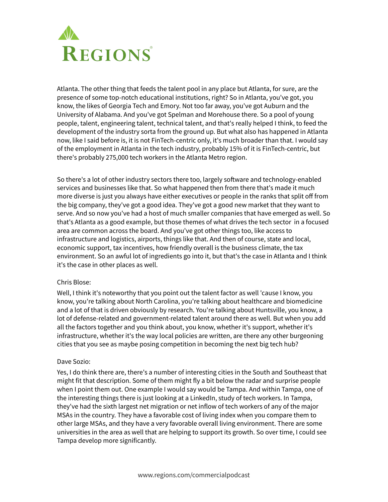

Atlanta. The other thing that feeds the talent pool in any place but Atlanta, for sure, are the presence of some top-notch educational institutions, right? So in Atlanta, you've got, you know, the likes of Georgia Tech and Emory. Not too far away, you've got Auburn and the University of Alabama. And you've got Spelman and Morehouse there. So a pool of young people, talent, engineering talent, technical talent, and that's really helped I think, to feed the development of the industry sorta from the ground up. But what also has happened in Atlanta now, like I said before is, it is not FinTech-centric only, it's much broader than that. I would say of the employment in Atlanta in the tech industry, probably 15% of it is FinTech-centric, but there's probably 275,000 tech workers in the Atlanta Metro region.

So there's a lot of other industry sectors there too, largely software and technology-enabled services and businesses like that. So what happened then from there that's made it much more diverse is just you always have either executives or people in the ranks that split off from the big company, they've got a good idea. They've got a good new market that they want to serve. And so now you've had a host of much smaller companies that have emerged as well. So that's Atlanta as a good example, but those themes of what drives the tech sector in a focused area are common across the board. And you've got other things too, like access to infrastructure and logistics, airports, things like that. And then of course, state and local, economic support, tax incentives, how friendly overall is the business climate, the tax environment. So an awful lot of ingredients go into it, but that's the case in Atlanta and I think it's the case in other places as well.

#### Chris Blose:

Well, I think it's noteworthy that you point out the talent factor as well 'cause I know, you know, you're talking about North Carolina, you're talking about healthcare and biomedicine and a lot of that is driven obviously by research. You're talking about Huntsville, you know, a lot of defense-related and government-related talent around there as well. But when you add all the factors together and you think about, you know, whether it's support, whether it's infrastructure, whether it's the way local policies are written, are there any other burgeoning cities that you see as maybe posing competition in becoming the next big tech hub?

#### Dave Sozio:

Yes, I do think there are, there's a number of interesting cities in the South and Southeast that might fit that description. Some of them might fly a bit below the radar and surprise people when I point them out. One example I would say would be Tampa. And within Tampa, one of the interesting things there is just looking at a LinkedIn, study of tech workers. In Tampa, they've had the sixth largest net migration or net inflow of tech workers of any of the major MSAs in the country. They have a favorable cost of living index when you compare them to other large MSAs, and they have a very favorable overall living environment. There are some universities in the area as well that are helping to support its growth. So over time, I could see Tampa develop more significantly.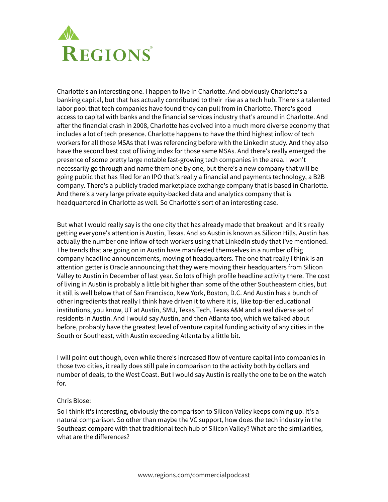

Charlotte's an interesting one. I happen to live in Charlotte. And obviously Charlotte's a banking capital, but that has actually contributed to their rise as a tech hub. There's a talented labor pool that tech companies have found they can pull from in Charlotte. There's good access to capital with banks and the financial services industry that's around in Charlotte. And after the financial crash in 2008, Charlotte has evolved into a much more diverse economy that includes a lot of tech presence. Charlotte happens to have the third highest inflow of tech workers for all those MSAs that I was referencing before with the LinkedIn study. And they also have the second best cost of living index for those same MSAs. And there's really emerged the presence of some pretty large notable fast-growing tech companies in the area. I won't necessarily go through and name them one by one, but there's a new company that will be going public that has filed for an IPO that's really a financial and payments technology, a B2B company. There's a publicly traded marketplace exchange company that is based in Charlotte. And there's a very large private equity-backed data and analytics company that is headquartered in Charlotte as well. So Charlotte's sort of an interesting case.

But what I would really say is the one city that has already made that breakout and it's really getting everyone's attention is Austin, Texas. And so Austin is known as Silicon Hills. Austin has actually the number one inflow of tech workers using that LinkedIn study that I've mentioned. The trends that are going on in Austin have manifested themselves in a number of big company headline announcements, moving of headquarters. The one that really I think is an attention getter is Oracle announcing that they were moving their headquarters from Silicon Valley to Austin in December of last year. So lots of high profile headline activity there. The cost of living in Austin is probably a little bit higher than some of the other Southeastern cities, but it still is well below that of San Francisco, New York, Boston, D.C. And Austin has a bunch of other ingredients that really I think have driven it to where it is, like top-tier educational institutions, you know, UT at Austin, SMU, Texas Tech, Texas A&M and a real diverse set of residents in Austin. And I would say Austin, and then Atlanta too, which we talked about before, probably have the greatest level of venture capital funding activity of any cities in the South or Southeast, with Austin exceeding Atlanta by a little bit.

I will point out though, even while there's increased flow of venture capital into companies in those two cities, it really does still pale in comparison to the activity both by dollars and number of deals, to the West Coast. But I would say Austin is really the one to be on the watch for.

#### Chris Blose:

So I think it's interesting, obviously the comparison to Silicon Valley keeps coming up. It's a natural comparison. So other than maybe the VC support, how does the tech industry in the Southeast compare with that traditional tech hub of Silicon Valley? What are the similarities, what are the differences?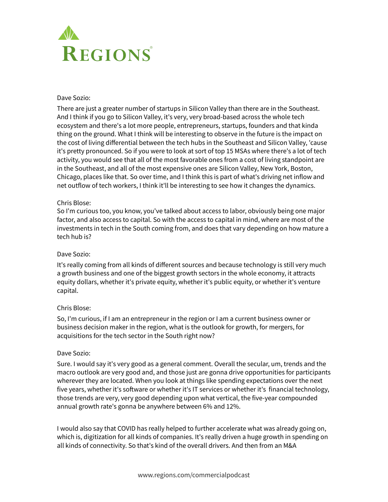

#### Dave Sozio:

There are just a greater number of startups in Silicon Valley than there are in the Southeast. And I think if you go to Silicon Valley, it's very, very broad-based across the whole tech ecosystem and there's a lot more people, entrepreneurs, startups, founders and that kinda thing on the ground. What I think will be interesting to observe in the future is the impact on the cost of living differential between the tech hubs in the Southeast and Silicon Valley, 'cause it's pretty pronounced. So if you were to look at sort of top 15 MSAs where there's a lot of tech activity, you would see that all of the most favorable ones from a cost of living standpoint are in the Southeast, and all of the most expensive ones are Silicon Valley, New York, Boston, Chicago, places like that. So over time, and I think this is part of what's driving net inflow and net outflow of tech workers, I think it'll be interesting to see how it changes the dynamics.

#### Chris Blose:

So I'm curious too, you know, you've talked about access to labor, obviously being one major factor, and also access to capital. So with the access to capital in mind, where are most of the investments in tech in the South coming from, and does that vary depending on how mature a tech hub is?

#### Dave Sozio:

It's really coming from all kinds of different sources and because technology is still very much a growth business and one of the biggest growth sectors in the whole economy, it attracts equity dollars, whether it's private equity, whether it's public equity, or whether it's venture capital.

### Chris Blose:

So, I'm curious, if I am an entrepreneur in the region or I am a current business owner or business decision maker in the region, what is the outlook for growth, for mergers, for acquisitions for the tech sector in the South right now?

#### Dave Sozio:

Sure. I would say it's very good as a general comment. Overall the secular, um, trends and the macro outlook are very good and, and those just are gonna drive opportunities for participants wherever they are located. When you look at things like spending expectations over the next five years, whether it's software or whether it's IT services or whether it's financial technology, those trends are very, very good depending upon what vertical, the five-year compounded annual growth rate's gonna be anywhere between 6% and 12%.

I would also say that COVID has really helped to further accelerate what was already going on, which is, digitization for all kinds of companies. It's really driven a huge growth in spending on all kinds of connectivity. So that's kind of the overall drivers. And then from an M&A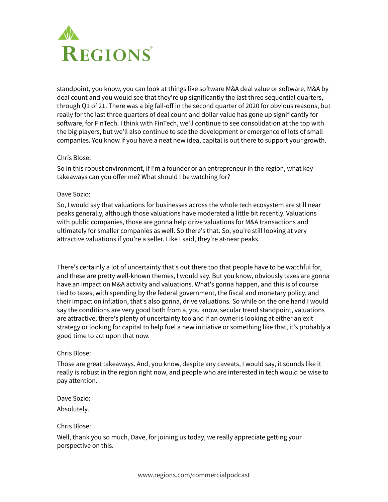

standpoint, you know, you can look at things like software M&A deal value or software, M&A by deal count and you would see that they're up significantly the last three sequential quarters, through Q1 of 21. There was a big fall-off in the second quarter of 2020 for obvious reasons, but really for the last three quarters of deal count and dollar value has gone up significantly for software, for FinTech. I think with FinTech, we'll continue to see consolidation at the top with the big players, but we'll also continue to see the development or emergence of lots of small companies. You know if you have a neat new idea, capital is out there to support your growth.

#### Chris Blose:

So in this robust environment, if I'm a founder or an entrepreneur in the region, what key takeaways can you offer me? What should I be watching for?

#### Dave Sozio:

So, I would say that valuations for businesses across the whole tech ecosystem are still near peaks generally, although those valuations have moderated a little bit recently. Valuations with public companies, those are gonna help drive valuations for M&A transactions and ultimately for smaller companies as well. So there's that. So, you're still looking at very attractive valuations if you're a seller. Like I said, they're at near peaks.

There's certainly a lot of uncertainty that's out there too that people have to be watchful for, and these are pretty well-known themes, I would say. But you know, obviously taxes are gonna have an impact on M&A activity and valuations. What's gonna happen, and this is of course tied to taxes, with spending by the federal government, the fiscal and monetary policy, and their impact on inflation, that's also gonna, drive valuations. So while on the one hand I would say the conditions are very good both from a, you know, secular trend standpoint, valuations are attractive, there's plenty of uncertainty too and if an owner is looking at either an exit strategy or looking for capital to help fuel a new initiative or something like that, it's probably a good time to act upon that now.

### Chris Blose:

Those are great takeaways. And, you know, despite any caveats, I would say, it sounds like it really is robust in the region right now, and people who are interested in tech would be wise to pay attention.

Dave Sozio: Absolutely.

Chris Blose:

Well, thank you so much, Dave, for joining us today, we really appreciate getting your perspective on this.